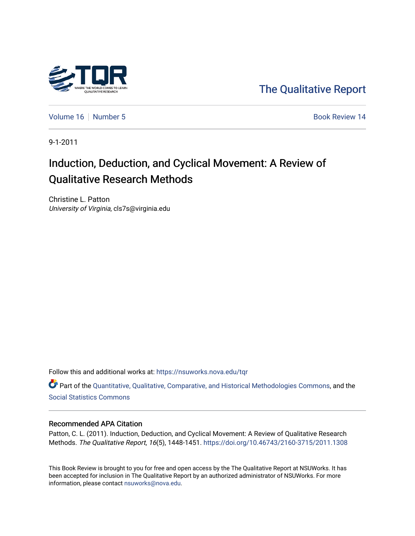

[The Qualitative Report](https://nsuworks.nova.edu/tqr) 

[Volume 16](https://nsuworks.nova.edu/tqr/vol16) [Number 5](https://nsuworks.nova.edu/tqr/vol16/iss5) Book Review 14

9-1-2011

# Induction, Deduction, and Cyclical Movement: A Review of Qualitative Research Methods

Christine L. Patton University of Virginia, cls7s@virginia.edu

Follow this and additional works at: [https://nsuworks.nova.edu/tqr](https://nsuworks.nova.edu/tqr?utm_source=nsuworks.nova.edu%2Ftqr%2Fvol16%2Fiss5%2F14&utm_medium=PDF&utm_campaign=PDFCoverPages) 

Part of the [Quantitative, Qualitative, Comparative, and Historical Methodologies Commons,](http://network.bepress.com/hgg/discipline/423?utm_source=nsuworks.nova.edu%2Ftqr%2Fvol16%2Fiss5%2F14&utm_medium=PDF&utm_campaign=PDFCoverPages) and the [Social Statistics Commons](http://network.bepress.com/hgg/discipline/1275?utm_source=nsuworks.nova.edu%2Ftqr%2Fvol16%2Fiss5%2F14&utm_medium=PDF&utm_campaign=PDFCoverPages) 

### Recommended APA Citation

Patton, C. L. (2011). Induction, Deduction, and Cyclical Movement: A Review of Qualitative Research Methods. The Qualitative Report, 16(5), 1448-1451.<https://doi.org/10.46743/2160-3715/2011.1308>

This Book Review is brought to you for free and open access by the The Qualitative Report at NSUWorks. It has been accepted for inclusion in The Qualitative Report by an authorized administrator of NSUWorks. For more information, please contact [nsuworks@nova.edu.](mailto:nsuworks@nova.edu)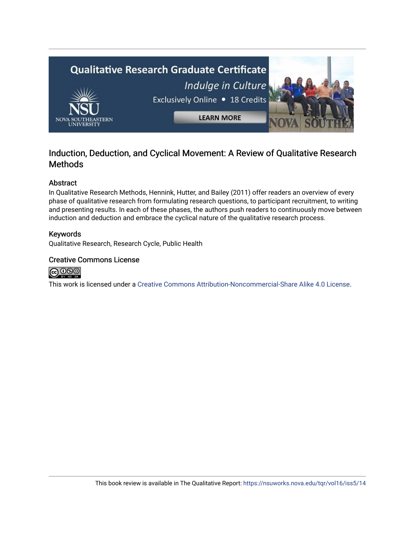

## Induction, Deduction, and Cyclical Movement: A Review of Qualitative Research **Methods**

## Abstract

In Qualitative Research Methods, Hennink, Hutter, and Bailey (2011) offer readers an overview of every phase of qualitative research from formulating research questions, to participant recruitment, to writing and presenting results. In each of these phases, the authors push readers to continuously move between induction and deduction and embrace the cyclical nature of the qualitative research process.

## Keywords

Qualitative Research, Research Cycle, Public Health

## Creative Commons License



This work is licensed under a [Creative Commons Attribution-Noncommercial-Share Alike 4.0 License](https://creativecommons.org/licenses/by-nc-sa/4.0/).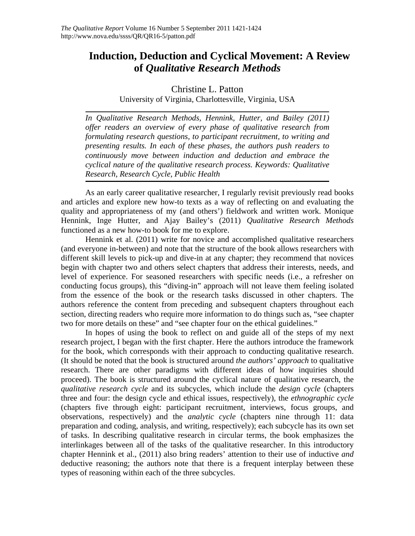## **Induction, Deduction and Cyclical Movement: A Review of** *Qualitative Research Methods*

Christine L. Patton

University of Virginia, Charlottesville, Virginia, USA

*In Qualitative Research Methods, Hennink, Hutter, and Bailey (2011) offer readers an overview of every phase of qualitative research from formulating research questions, to participant recruitment, to writing and presenting results. In each of these phases, the authors push readers to continuously move between induction and deduction and embrace the cyclical nature of the qualitative research process. Keywords: Qualitative Research, Research Cycle, Public Health* 

As an early career qualitative researcher, I regularly revisit previously read books and articles and explore new how-to texts as a way of reflecting on and evaluating the quality and appropriateness of my (and others') fieldwork and written work. Monique Hennink, Inge Hutter, and Ajay Bailey's (2011) *Qualitative Research Methods* functioned as a new how-to book for me to explore.

Hennink et al. (2011) write for novice and accomplished qualitative researchers (and everyone in-between) and note that the structure of the book allows researchers with different skill levels to pick-up and dive-in at any chapter; they recommend that novices begin with chapter two and others select chapters that address their interests, needs, and level of experience. For seasoned researchers with specific needs (i.e., a refresher on conducting focus groups), this "diving-in" approach will not leave them feeling isolated from the essence of the book or the research tasks discussed in other chapters. The authors reference the content from preceding and subsequent chapters throughout each section, directing readers who require more information to do things such as, "see chapter two for more details on these" and "see chapter four on the ethical guidelines."

In hopes of using the book to reflect on and guide all of the steps of my next research project, I began with the first chapter. Here the authors introduce the framework for the book, which corresponds with their approach to conducting qualitative research. (It should be noted that the book is structured around *the authors' approach* to qualitative research. There are other paradigms with different ideas of how inquiries should proceed). The book is structured around the cyclical nature of qualitative research, the *qualitative research cycle* and its subcycles, which include the *design cycle* (chapters three and four: the design cycle and ethical issues, respectively), the *ethnographic cycle* (chapters five through eight: participant recruitment, interviews, focus groups, and observations, respectively) and the *analytic cycle* (chapters nine through 11: data preparation and coding, analysis, and writing, respectively); each subcycle has its own set of tasks. In describing qualitative research in circular terms, the book emphasizes the interlinkages between all of the tasks of the qualitative researcher. In this introductory chapter Hennink et al., (2011) also bring readers' attention to their use of inductive *and* deductive reasoning; the authors note that there is a frequent interplay between these types of reasoning within each of the three subcycles.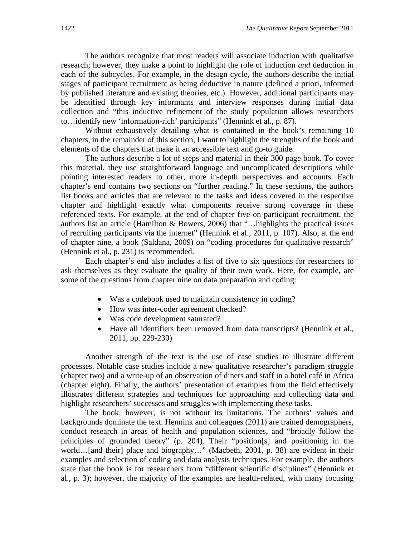The authors recognize that most readers will associate induction with qualitative research; however, they make a point to highlight the role of induction *and* deduction in each of the subcycles. For example, in the design cycle, the authors describe the initial stages of participant recruitment as being deductive in nature (defined a priori, informed by published literature and existing theories, etc.). However, additional participants may be identified through key informants and interview responses during initial data collection and "this inductive refinement of the study population allows researchers to…identify new 'information-rich' participants" (Hennink et al., p. 87).

Without exhaustively detailing what is contained in the book's remaining 10 chapters, in the remainder of this section, I want to highlight the strengths of the book and elements of the chapters that make it an accessible text and go-to guide.

The authors describe a lot of steps and material in their 300 page book. To cover this material, they use straightforward language and uncomplicated descriptions while pointing interested readers to other, more in-depth perspectives and accounts. Each chapter's end contains two sections on "further reading." In these sections, the authors list books and articles that are relevant to the tasks and ideas covered in the respective chapter and highlight exactly what components receive strong coverage in these referenced texts. For example, at the end of chapter five on participant recruitment, the authors list an article (Hamilton  $\&$  Bowers, 2006) that "... highlights the practical issues of recruiting participants via the internet" (Hennink et al., 2011, p. 107). Also, at the end of chapter nine, a book (Saldana, 2009) on "coding procedures for qualitative research" (Hennink et al., p. 231) is recommended.

Each chapter's end also includes a list of five to six questions for researchers to ask themselves as they evaluate the quality of their own work. Here, for example, are some of the questions from chapter nine on data preparation and coding:

- Was a codebook used to maintain consistency in coding?
- How was inter-coder agreement checked?
- Was code development saturated?
- Have all identifiers been removed from data transcripts? (Hennink et al., 2011, pp. 229-230)

Another strength of the text is the use of case studies to illustrate different processes. Notable case studies include a new qualitative researcher's paradigm struggle (chapter two) and a write-up of an observation of diners and staff in a hotel café in Africa (chapter eight). Finally, the authors' presentation of examples from the field effectively illustrates different strategies and techniques for approaching and collecting data and highlight researchers' successes and struggles with implementing these tasks.

The book, however, is not without its limitations. The authors' values and backgrounds dominate the text. Hennink and colleagues (2011) are trained demographers, conduct research in areas of health and population sciences, and "broadly follow the principles of grounded theory" (p. 204). Their "position[s] and positioning in the world…[and their] place and biography…" (Macbeth, 2001, p. 38) are evident in their examples and selection of coding and data analysis techniques. For example, the authors state that the book is for researchers from "different scientific disciplines" (Hennink et al., p. 3); however, the majority of the examples are health-related, with many focusing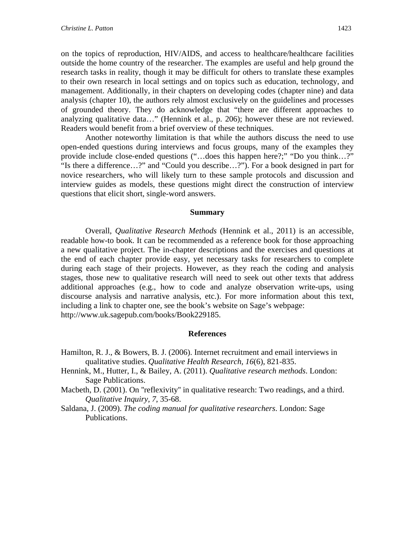on the topics of reproduction, HIV/AIDS, and access to healthcare/healthcare facilities outside the home country of the researcher. The examples are useful and help ground the research tasks in reality, though it may be difficult for others to translate these examples to their own research in local settings and on topics such as education, technology, and management. Additionally, in their chapters on developing codes (chapter nine) and data analysis (chapter 10), the authors rely almost exclusively on the guidelines and processes of grounded theory. They do acknowledge that "there are different approaches to analyzing qualitative data…" (Hennink et al., p. 206); however these are not reviewed. Readers would benefit from a brief overview of these techniques.

Another noteworthy limitation is that while the authors discuss the need to use open-ended questions during interviews and focus groups, many of the examples they provide include close-ended questions ("…does this happen here?;" "Do you think…?" "Is there a difference…?" and "Could you describe…?"). For a book designed in part for novice researchers, who will likely turn to these sample protocols and discussion and interview guides as models, these questions might direct the construction of interview questions that elicit short, single-word answers.

#### **Summary**

Overall, *Qualitative Research Methods* (Hennink et al., 2011) is an accessible, readable how-to book. It can be recommended as a reference book for those approaching a new qualitative project. The in-chapter descriptions and the exercises and questions at the end of each chapter provide easy, yet necessary tasks for researchers to complete during each stage of their projects. However, as they reach the coding and analysis stages, those new to qualitative research will need to seek out other texts that address additional approaches (e.g., how to code and analyze observation write-ups, using discourse analysis and narrative analysis, etc.). For more information about this text, including a link to chapter one, see the book's website on Sage's webpage: http://www.uk.sagepub.com/books/Book229185.

#### **References**

- Hamilton, R. J., & Bowers, B. J. (2006). Internet recruitment and email interviews in qualitative studies. *Qualitative Health Research, 16*(6), 821-835.
- Hennink, M., Hutter, I., & Bailey, A. (2011). *Qualitative research methods*. London: Sage Publications.
- Macbeth, D. (2001). On ''reflexivity'' in qualitative research: Two readings, and a third. *Qualitative Inquiry, 7*, 35-68.
- Saldana, J. (2009). *The coding manual for qualitative researchers*. London: Sage Publications.